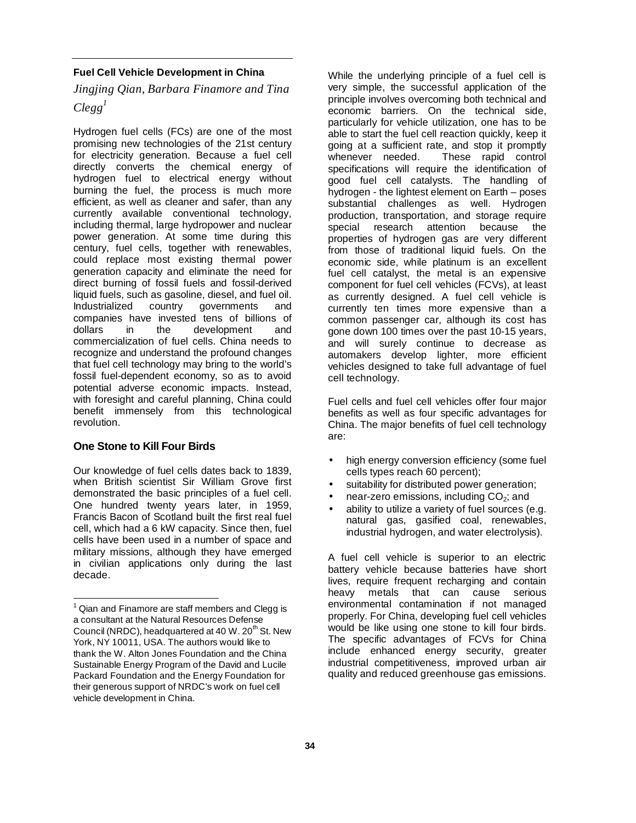#### **Fuel Cell Vehicle Development in China**

# *Jingjing Qian, Barbara Finamore and Tina*   $Clegg<sup>1</sup>$

Hydrogen fuel cells (FCs) are one of the most promising new technologies of the 21st century for electricity generation. Because a fuel cell directly converts the chemical energy of hydrogen fuel to electrical energy without burning the fuel, the process is much more efficient, as well as cleaner and safer, than any currently available conventional technology, including thermal, large hydropower and nuclear power generation. At some time during this century, fuel cells, together with renewables, could replace most existing thermal power generation capacity and eliminate the need for direct burning of fossil fuels and fossil-derived liquid fuels, such as gasoline, diesel, and fuel oil. Industrialized country governments and companies have invested tens of billions of dollars in the development and commercialization of fuel cells. China needs to recognize and understand the profound changes that fuel cell technology may bring to the world's fossil fuel-dependent economy, so as to avoid potential adverse economic impacts. Instead, with foresight and careful planning, China could benefit immensely from this technological revolution.

# **One Stone to Kill Four Birds**

l

Our knowledge of fuel cells dates back to 1839, when British scientist Sir William Grove first demonstrated the basic principles of a fuel cell. One hundred twenty years later, in 1959, Francis Bacon of Scotland built the first real fuel cell, which had a 6 kW capacity. Since then, fuel cells have been used in a number of space and military missions, although they have emerged in civilian applications only during the last decade.

While the underlying principle of a fuel cell is very simple, the successful application of the principle involves overcoming both technical and economic barriers. On the technical side, particularly for vehicle utilization, one has to be able to start the fuel cell reaction quickly, keep it going at a sufficient rate, and stop it promptly whenever needed. These rapid control specifications will require the identification of good fuel cell catalysts. The handling of hydrogen - the lightest element on Earth – poses substantial challenges as well. Hydrogen production, transportation, and storage require special research attention because the properties of hydrogen gas are very different from those of traditional liquid fuels. On the economic side, while platinum is an excellent fuel cell catalyst, the metal is an expensive component for fuel cell vehicles (FCVs), at least as currently designed. A fuel cell vehicle is currently ten times more expensive than a common passenger car, although its cost has gone down 100 times over the past 10-15 years, and will surely continue to decrease as automakers develop lighter, more efficient vehicles designed to take full advantage of fuel cell technology.

Fuel cells and fuel cell vehicles offer four major benefits as well as four specific advantages for China. The major benefits of fuel cell technology are:

- high energy conversion efficiency (some fuel cells types reach 60 percent);
- suitability for distributed power generation;
- near-zero emissions, including  $CO<sub>2</sub>$ ; and
- ability to utilize a variety of fuel sources (e.g. natural gas, gasified coal, renewables, industrial hydrogen, and water electrolysis).

A fuel cell vehicle is superior to an electric battery vehicle because batteries have short lives, require frequent recharging and contain heavy metals that can cause serious environmental contamination if not managed properly. For China, developing fuel cell vehicles would be like using one stone to kill four birds. The specific advantages of FCVs for China include enhanced energy security, greater industrial competitiveness, improved urban air quality and reduced greenhouse gas emissions.

 $1$  Qian and Finamore are staff members and Clegg is a consultant at the Natural Resources Defense Council (NRDC), headquartered at 40 W,  $20<sup>th</sup>$  St. New York, NY 10011, USA. The authors would like to thank the W. Alton Jones Foundation and the China Sustainable Energy Program of the David and Lucile Packard Foundation and the Energy Foundation for their generous support of NRDC's work on fuel cell vehicle development in China.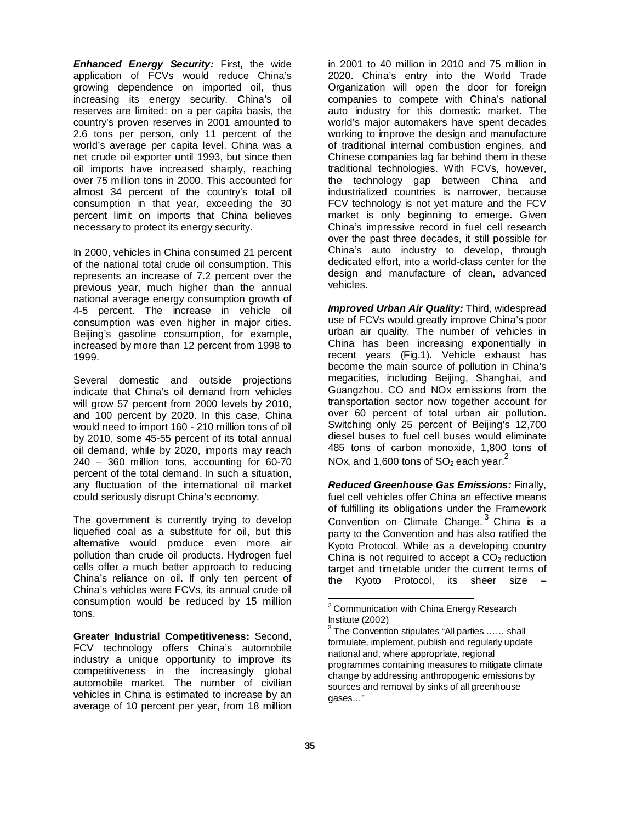**Enhanced Energy Security:** First, the wide application of FCVs would reduce China's growing dependence on imported oil, thus increasing its energy security. China's oil reserves are limited: on a per capita basis, the country's proven reserves in 2001 amounted to 2.6 tons per person, only 11 percent of the world's average per capita level. China was a net crude oil exporter until 1993, but since then oil imports have increased sharply, reaching over 75 million tons in 2000. This accounted for almost 34 percent of the country's total oil consumption in that year, exceeding the 30 percent limit on imports that China believes necessary to protect its energy security.

In 2000, vehicles in China consumed 21 percent of the national total crude oil consumption. This represents an increase of 7.2 percent over the previous year, much higher than the annual national average energy consumption growth of 4-5 percent. The increase in vehicle oil consumption was even higher in major cities. Beijing's gasoline consumption, for example, increased by more than 12 percent from 1998 to 1999.

Several domestic and outside projections indicate that China's oil demand from vehicles will grow 57 percent from 2000 levels by 2010, and 100 percent by 2020. In this case, China would need to import 160 - 210 million tons of oil by 2010, some 45-55 percent of its total annual oil demand, while by 2020, imports may reach 240 – 360 million tons, accounting for 60-70 percent of the total demand. In such a situation, any fluctuation of the international oil market could seriously disrupt China's economy.

The government is currently trying to develop liquefied coal as a substitute for oil, but this alternative would produce even more air pollution than crude oil products. Hydrogen fuel cells offer a much better approach to reducing China's reliance on oil. If only ten percent of China's vehicles were FCVs, its annual crude oil consumption would be reduced by 15 million tons.

**Greater Industrial Competitiveness:** Second, FCV technology offers China's automobile industry a unique opportunity to improve its competitiveness in the increasingly global automobile market. The number of civilian vehicles in China is estimated to increase by an average of 10 percent per year, from 18 million in 2001 to 40 million in 2010 and 75 million in 2020. China's entry into the World Trade Organization will open the door for foreign companies to compete with China's national auto industry for this domestic market. The world's major automakers have spent decades working to improve the design and manufacture of traditional internal combustion engines, and Chinese companies lag far behind them in these traditional technologies. With FCVs, however, the technology gap between China and industrialized countries is narrower, because FCV technology is not yet mature and the FCV market is only beginning to emerge. Given China's impressive record in fuel cell research over the past three decades, it still possible for China's auto industry to develop, through dedicated effort, into a world-class center for the design and manufacture of clean, advanced vehicles.

**Improved Urban Air Quality:** Third, widespread use of FCVs would greatly improve China's poor urban air quality. The number of vehicles in China has been increasing exponentially in recent years (Fig.1). Vehicle exhaust has become the main source of pollution in China's megacities, including Beijing, Shanghai, and Guangzhou. CO and NOx emissions from the transportation sector now together account for over 60 percent of total urban air pollution. Switching only 25 percent of Beijing's 12,700 diesel buses to fuel cell buses would eliminate 485 tons of carbon monoxide, 1,800 tons of NOx, and 1,600 tons of SO<sub>2</sub> each year.<sup>2</sup>

**Reduced Greenhouse Gas Emissions:** Finally, fuel cell vehicles offer China an effective means of fulfilling its obligations under the Framework Convention on Climate Change.<sup>3</sup> China is a party to the Convention and has also ratified the Kyoto Protocol. While as a developing country China is not required to accept a  $CO<sub>2</sub>$  reduction target and timetable under the current terms of the Kyoto Protocol, its sheer size –

<sup>&</sup>lt;u>.</u><br><sup>2</sup> Communication with China Energy Research Institute (2002)

 $3$  The Convention stipulates "All parties ...... shall formulate, implement, publish and regularly update national and, where appropriate, regional programmes containing measures to mitigate climate change by addressing anthropogenic emissions by sources and removal by sinks of all greenhouse gases…"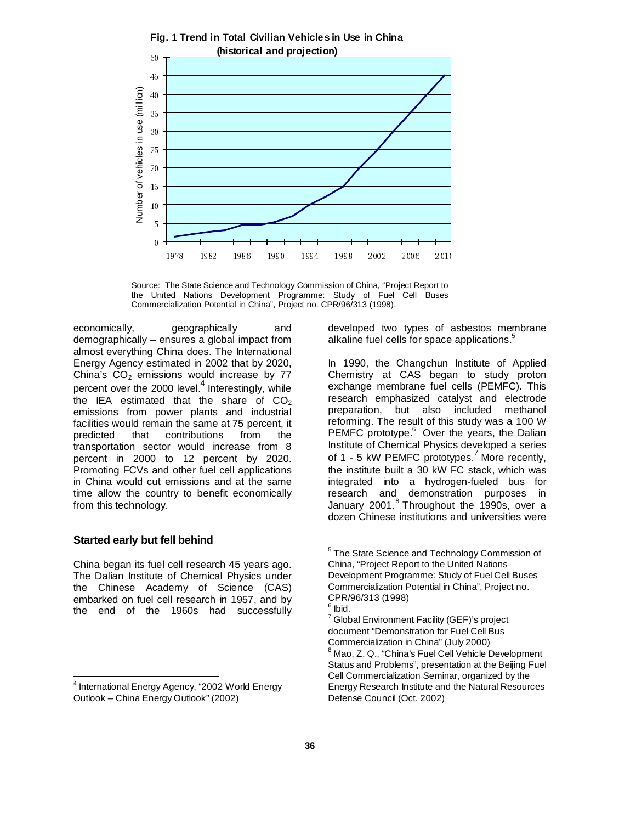



economically, geographically and demographically – ensures a global impact from almost everything China does. The International Energy Agency estimated in 2002 that by 2020, China's  $CO<sub>2</sub>$  emissions would increase by 77 percent over the 2000 level.<sup>4</sup> Interestingly, while the IEA estimated that the share of  $CO<sub>2</sub>$ emissions from power plants and industrial facilities would remain the same at 75 percent, it predicted that contributions from the transportation sector would increase from 8 percent in 2000 to 12 percent by 2020. Promoting FCVs and other fuel cell applications in China would cut emissions and at the same time allow the country to benefit economically from this technology.

### **Started early but fell behind**

l

China began its fuel cell research 45 years ago. The Dalian Institute of Chemical Physics under the Chinese Academy of Science (CAS) embarked on fuel cell research in 1957, and by the end of the 1960s had successfully

developed two types of asbestos membrane alkaline fuel cells for space applications.<sup>5</sup>

In 1990, the Changchun Institute of Applied Chemistry at CAS began to study proton exchange membrane fuel cells (PEMFC). This research emphasized catalyst and electrode preparation, but also included methanol reforming. The result of this study was a 100 W PEMFC prototype.<sup>6</sup> Over the years, the Dalian Institute of Chemical Physics developed a series of 1 - 5 kW PEMFC prototypes.<sup>7</sup> More recently, the institute built a 30 kW FC stack, which was integrated into a hydrogen-fueled bus for research and demonstration purposes in January 2001.<sup>8</sup> Throughout the 1990s, over a dozen Chinese institutions and universities were

l

<sup>4</sup> International Energy Agency, "2002 World Energy Outlook – China Energy Outlook" (2002)

<sup>&</sup>lt;sup>5</sup> The State Science and Technology Commission of China, "Project Report to the United Nations Development Programme: Study of Fuel Cell Buses Commercialization Potential in China", Project no. CPR/96/313 (1998)

<sup>6</sup> Ibid.

<sup>&</sup>lt;sup>7</sup> Global Environment Facility (GEF)'s project document "Demonstration for Fuel Cell Bus Commercialization in China" (July 2000) <sup>8</sup> Mao, Z. Q., "China's Fuel Cell Vehicle Development Status and Problems", presentation at the Beijing Fuel Cell Commercialization Seminar, organized by the Energy Research Institute and the Natural Resources Defense Council (Oct. 2002)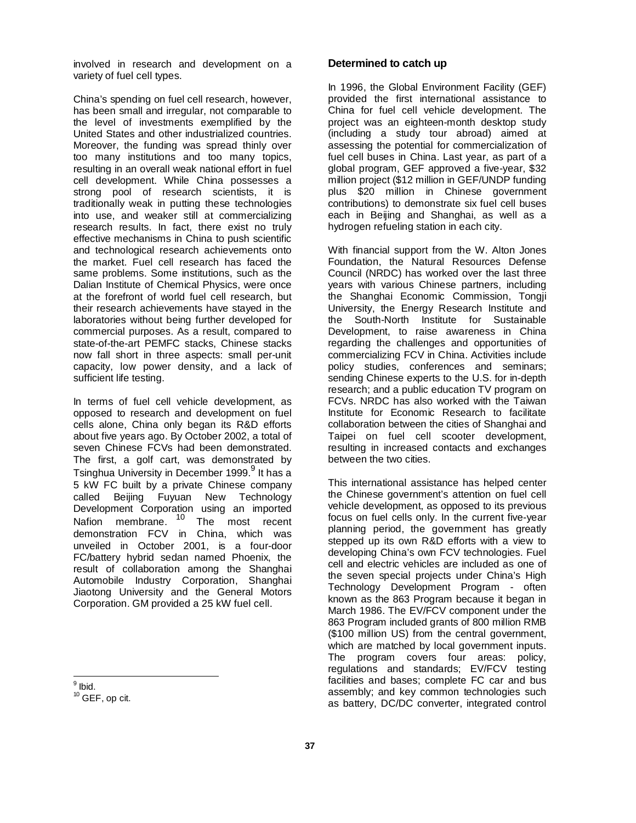involved in research and development on a variety of fuel cell types.

China's spending on fuel cell research, however, has been small and irregular, not comparable to the level of investments exemplified by the United States and other industrialized countries. Moreover, the funding was spread thinly over too many institutions and too many topics, resulting in an overall weak national effort in fuel cell development. While China possesses a strong pool of research scientists, it is traditionally weak in putting these technologies into use, and weaker still at commercializing research results. In fact, there exist no truly effective mechanisms in China to push scientific and technological research achievements onto the market. Fuel cell research has faced the same problems. Some institutions, such as the Dalian Institute of Chemical Physics, were once at the forefront of world fuel cell research, but their research achievements have stayed in the laboratories without being further developed for commercial purposes. As a result, compared to state-of-the-art PEMFC stacks, Chinese stacks now fall short in three aspects: small per-unit capacity, low power density, and a lack of sufficient life testing.

In terms of fuel cell vehicle development, as opposed to research and development on fuel cells alone, China only began its R&D efforts about five years ago. By October 2002, a total of seven Chinese FCVs had been demonstrated. The first, a golf cart, was demonstrated by Tsinghua University in December 1999.<sup>9</sup> It has a 5 kW FC built by a private Chinese company called Beijing Fuyuan New Technology Development Corporation using an imported Nafion membrane. <sup>10</sup> The most recent demonstration FCV in China, which was unveiled in October 2001, is a four-door FC/battery hybrid sedan named Phoenix, the result of collaboration among the Shanghai Automobile Industry Corporation, Shanghai Jiaotong University and the General Motors Corporation. GM provided a 25 kW fuel cell.

#### **Determined to catch up**

In 1996, the Global Environment Facility (GEF) provided the first international assistance to China for fuel cell vehicle development. The project was an eighteen-month desktop study (including a study tour abroad) aimed at assessing the potential for commercialization of fuel cell buses in China. Last year, as part of a global program, GEF approved a five-year, \$32 million project (\$12 million in GEF/UNDP funding plus \$20 million in Chinese government contributions) to demonstrate six fuel cell buses each in Beijing and Shanghai, as well as a hydrogen refueling station in each city.

With financial support from the W. Alton Jones Foundation, the Natural Resources Defense Council (NRDC) has worked over the last three years with various Chinese partners, including the Shanghai Economic Commission, Tongji University, the Energy Research Institute and the South-North Institute for Sustainable Development, to raise awareness in China regarding the challenges and opportunities of commercializing FCV in China. Activities include policy studies, conferences and seminars; sending Chinese experts to the U.S. for in-depth research; and a public education TV program on FCVs. NRDC has also worked with the Taiwan Institute for Economic Research to facilitate collaboration between the cities of Shanghai and Taipei on fuel cell scooter development, resulting in increased contacts and exchanges between the two cities.

This international assistance has helped center the Chinese government's attention on fuel cell vehicle development, as opposed to its previous focus on fuel cells only. In the current five-year planning period, the government has greatly stepped up its own R&D efforts with a view to developing China's own FCV technologies. Fuel cell and electric vehicles are included as one of the seven special projects under China's High Technology Development Program - often known as the 863 Program because it began in March 1986. The EV/FCV component under the 863 Program included grants of 800 million RMB (\$100 million US) from the central government, which are matched by local government inputs. The program covers four areas: policy, regulations and standards; EV/FCV testing facilities and bases; complete FC car and bus assembly; and key common technologies such as battery, DC/DC converter, integrated control

<sup>&</sup>lt;sup>9</sup> Ibid.

<sup>&</sup>lt;sup>10</sup> GEF, op cit.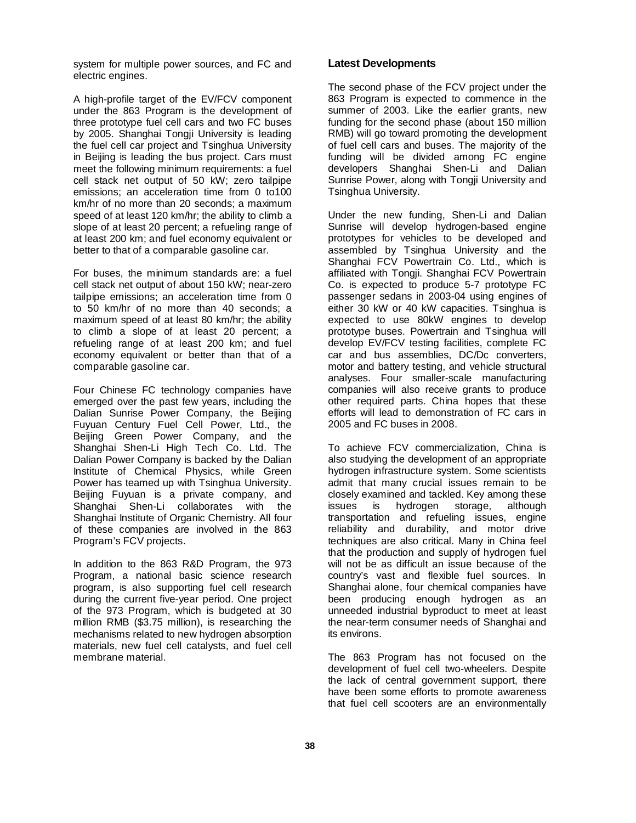system for multiple power sources, and FC and electric engines.

A high-profile target of the EV/FCV component under the 863 Program is the development of three prototype fuel cell cars and two FC buses by 2005. Shanghai Tongji University is leading the fuel cell car project and Tsinghua University in Beijing is leading the bus project. Cars must meet the following minimum requirements: a fuel cell stack net output of 50 kW; zero tailpipe emissions; an acceleration time from 0 to100 km/hr of no more than 20 seconds; a maximum speed of at least 120 km/hr; the ability to climb a slope of at least 20 percent; a refueling range of at least 200 km; and fuel economy equivalent or better to that of a comparable gasoline car.

For buses, the minimum standards are: a fuel cell stack net output of about 150 kW; near-zero tailpipe emissions; an acceleration time from 0 to 50 km/hr of no more than 40 seconds; a maximum speed of at least 80 km/hr; the ability to climb a slope of at least 20 percent; a refueling range of at least 200 km; and fuel economy equivalent or better than that of a comparable gasoline car.

Four Chinese FC technology companies have emerged over the past few years, including the Dalian Sunrise Power Company, the Beijing Fuyuan Century Fuel Cell Power, Ltd., the Beijing Green Power Company, and the Shanghai Shen-Li High Tech Co. Ltd. The Dalian Power Company is backed by the Dalian Institute of Chemical Physics, while Green Power has teamed up with Tsinghua University. Beijing Fuyuan is a private company, and Shanghai Shen-Li collaborates with the Shanghai Institute of Organic Chemistry. All four of these companies are involved in the 863 Program's FCV projects.

In addition to the 863 R&D Program, the 973 Program, a national basic science research program, is also supporting fuel cell research during the current five-year period. One project of the 973 Program, which is budgeted at 30 million RMB (\$3.75 million), is researching the mechanisms related to new hydrogen absorption materials, new fuel cell catalysts, and fuel cell membrane material.

## **Latest Developments**

The second phase of the FCV project under the 863 Program is expected to commence in the summer of 2003. Like the earlier grants, new funding for the second phase (about 150 million RMB) will go toward promoting the development of fuel cell cars and buses. The majority of the funding will be divided among FC engine developers Shanghai Shen-Li and Dalian Sunrise Power, along with Tongji University and Tsinghua University.

Under the new funding, Shen-Li and Dalian Sunrise will develop hydrogen-based engine prototypes for vehicles to be developed and assembled by Tsinghua University and the Shanghai FCV Powertrain Co. Ltd., which is affiliated with Tongji. Shanghai FCV Powertrain Co. is expected to produce 5-7 prototype FC passenger sedans in 2003-04 using engines of either 30 kW or 40 kW capacities. Tsinghua is expected to use 80kW engines to develop prototype buses. Powertrain and Tsinghua will develop EV/FCV testing facilities, complete FC car and bus assemblies, DC/Dc converters, motor and battery testing, and vehicle structural analyses. Four smaller-scale manufacturing companies will also receive grants to produce other required parts. China hopes that these efforts will lead to demonstration of FC cars in 2005 and FC buses in 2008.

To achieve FCV commercialization, China is also studying the development of an appropriate hydrogen infrastructure system. Some scientists admit that many crucial issues remain to be closely examined and tackled. Key among these issues is hydrogen storage, although transportation and refueling issues, engine reliability and durability, and motor drive techniques are also critical. Many in China feel that the production and supply of hydrogen fuel will not be as difficult an issue because of the country's vast and flexible fuel sources. In Shanghai alone, four chemical companies have been producing enough hydrogen as an unneeded industrial byproduct to meet at least the near-term consumer needs of Shanghai and its environs.

The 863 Program has not focused on the development of fuel cell two-wheelers. Despite the lack of central government support, there have been some efforts to promote awareness that fuel cell scooters are an environmentally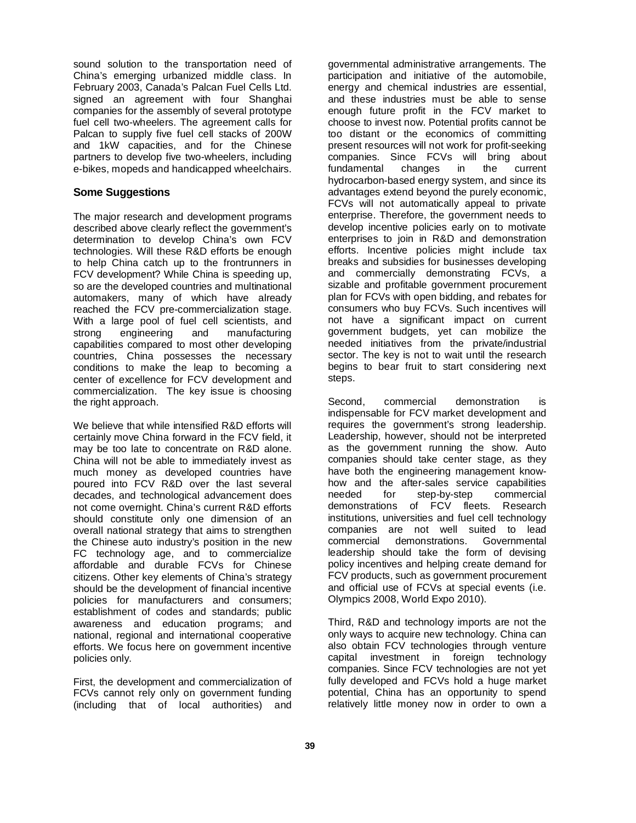sound solution to the transportation need of China's emerging urbanized middle class. In February 2003, Canada's Palcan Fuel Cells Ltd. signed an agreement with four Shanghai companies for the assembly of several prototype fuel cell two-wheelers. The agreement calls for Palcan to supply five fuel cell stacks of 200W and 1kW capacities, and for the Chinese partners to develop five two-wheelers, including e-bikes, mopeds and handicapped wheelchairs.

### **Some Suggestions**

The major research and development programs described above clearly reflect the government's determination to develop China's own FCV technologies. Will these R&D efforts be enough to help China catch up to the frontrunners in FCV development? While China is speeding up, so are the developed countries and multinational automakers, many of which have already reached the FCV pre-commercialization stage. With a large pool of fuel cell scientists, and strong engineering and manufacturing capabilities compared to most other developing countries, China possesses the necessary conditions to make the leap to becoming a center of excellence for FCV development and commercialization. The key issue is choosing the right approach.

We believe that while intensified R&D efforts will certainly move China forward in the FCV field, it may be too late to concentrate on R&D alone. China will not be able to immediately invest as much money as developed countries have poured into FCV R&D over the last several decades, and technological advancement does not come overnight. China's current R&D efforts should constitute only one dimension of an overall national strategy that aims to strengthen the Chinese auto industry's position in the new FC technology age, and to commercialize affordable and durable FCVs for Chinese citizens. Other key elements of China's strategy should be the development of financial incentive policies for manufacturers and consumers; establishment of codes and standards; public awareness and education programs; and national, regional and international cooperative efforts. We focus here on government incentive policies only.

First, the development and commercialization of FCVs cannot rely only on government funding (including that of local authorities) and governmental administrative arrangements. The participation and initiative of the automobile, energy and chemical industries are essential, and these industries must be able to sense enough future profit in the FCV market to choose to invest now. Potential profits cannot be too distant or the economics of committing present resources will not work for profit-seeking companies. Since FCVs will bring about fundamental changes in the current hydrocarbon-based energy system, and since its advantages extend beyond the purely economic, FCVs will not automatically appeal to private enterprise. Therefore, the government needs to develop incentive policies early on to motivate enterprises to join in R&D and demonstration efforts. Incentive policies might include tax breaks and subsidies for businesses developing and commercially demonstrating FCVs, a sizable and profitable government procurement plan for FCVs with open bidding, and rebates for consumers who buy FCVs. Such incentives will not have a significant impact on current government budgets, yet can mobilize the needed initiatives from the private/industrial sector. The key is not to wait until the research begins to bear fruit to start considering next steps.

Second, commercial demonstration is indispensable for FCV market development and requires the government's strong leadership. Leadership, however, should not be interpreted as the government running the show. Auto companies should take center stage, as they have both the engineering management knowhow and the after-sales service capabilities needed for step-by-step commercial demonstrations of FCV fleets. Research institutions, universities and fuel cell technology companies are not well suited to lead commercial demonstrations. Governmental leadership should take the form of devising policy incentives and helping create demand for FCV products, such as government procurement and official use of FCVs at special events (i.e. Olympics 2008, World Expo 2010).

Third, R&D and technology imports are not the only ways to acquire new technology. China can also obtain FCV technologies through venture capital investment in foreign technology companies. Since FCV technologies are not yet fully developed and FCVs hold a huge market potential, China has an opportunity to spend relatively little money now in order to own a